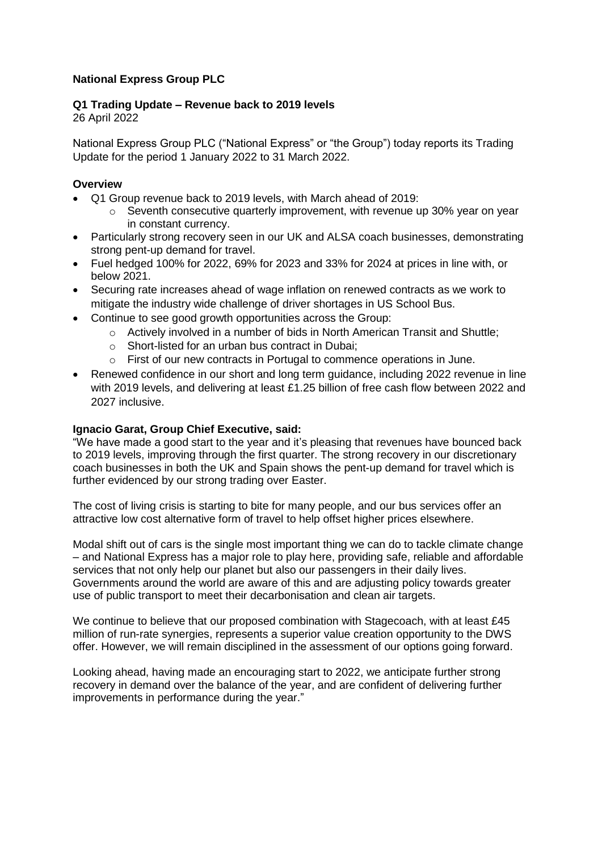## **National Express Group PLC**

# **Q1 Trading Update – Revenue back to 2019 levels**

26 April 2022

National Express Group PLC ("National Express" or "the Group") today reports its Trading Update for the period 1 January 2022 to 31 March 2022.

#### **Overview**

- Q1 Group revenue back to 2019 levels, with March ahead of 2019:
	- o Seventh consecutive quarterly improvement, with revenue up 30% year on year in constant currency.
- Particularly strong recovery seen in our UK and ALSA coach businesses, demonstrating strong pent-up demand for travel.
- Fuel hedged 100% for 2022, 69% for 2023 and 33% for 2024 at prices in line with, or below 2021.
- Securing rate increases ahead of wage inflation on renewed contracts as we work to mitigate the industry wide challenge of driver shortages in US School Bus.
- Continue to see good growth opportunities across the Group:
	- o Actively involved in a number of bids in North American Transit and Shuttle;
	- o Short-listed for an urban bus contract in Dubai;
	- o First of our new contracts in Portugal to commence operations in June.
- Renewed confidence in our short and long term guidance, including 2022 revenue in line with 2019 levels, and delivering at least £1.25 billion of free cash flow between 2022 and 2027 inclusive.

#### **Ignacio Garat, Group Chief Executive, said:**

"We have made a good start to the year and it's pleasing that revenues have bounced back to 2019 levels, improving through the first quarter. The strong recovery in our discretionary coach businesses in both the UK and Spain shows the pent-up demand for travel which is further evidenced by our strong trading over Easter.

The cost of living crisis is starting to bite for many people, and our bus services offer an attractive low cost alternative form of travel to help offset higher prices elsewhere.

Modal shift out of cars is the single most important thing we can do to tackle climate change – and National Express has a major role to play here, providing safe, reliable and affordable services that not only help our planet but also our passengers in their daily lives. Governments around the world are aware of this and are adjusting policy towards greater use of public transport to meet their decarbonisation and clean air targets.

We continue to believe that our proposed combination with Stagecoach, with at least £45 million of run-rate synergies, represents a superior value creation opportunity to the DWS offer. However, we will remain disciplined in the assessment of our options going forward.

Looking ahead, having made an encouraging start to 2022, we anticipate further strong recovery in demand over the balance of the year, and are confident of delivering further improvements in performance during the year."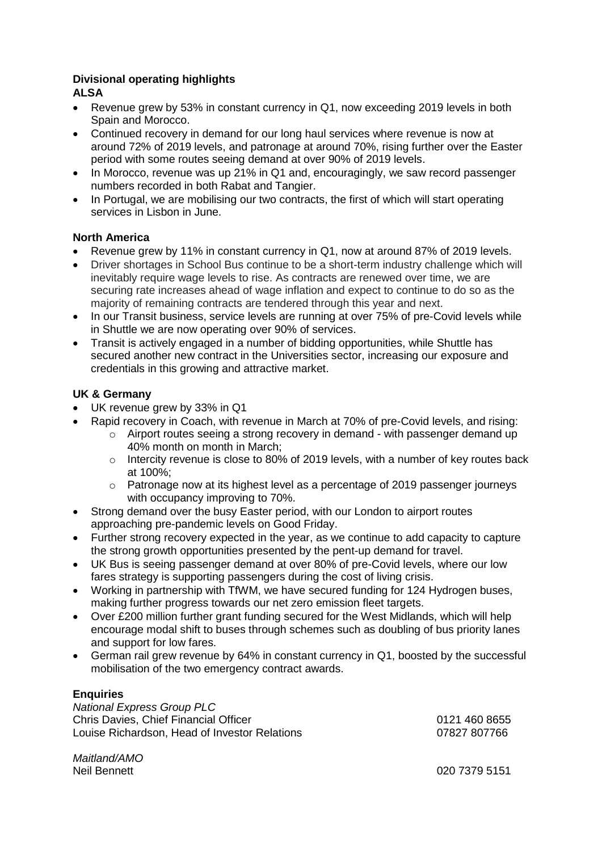# **Divisional operating highlights**

# **ALSA**

- Revenue grew by 53% in constant currency in Q1, now exceeding 2019 levels in both Spain and Morocco.
- Continued recovery in demand for our long haul services where revenue is now at around 72% of 2019 levels, and patronage at around 70%, rising further over the Easter period with some routes seeing demand at over 90% of 2019 levels.
- In Morocco, revenue was up 21% in Q1 and, encouragingly, we saw record passenger numbers recorded in both Rabat and Tangier.
- In Portugal, we are mobilising our two contracts, the first of which will start operating services in Lisbon in June.

## **North America**

- Revenue grew by 11% in constant currency in Q1, now at around 87% of 2019 levels.
- Driver shortages in School Bus continue to be a short-term industry challenge which will inevitably require wage levels to rise. As contracts are renewed over time, we are securing rate increases ahead of wage inflation and expect to continue to do so as the majority of remaining contracts are tendered through this year and next.
- In our Transit business, service levels are running at over 75% of pre-Covid levels while in Shuttle we are now operating over 90% of services.
- Transit is actively engaged in a number of bidding opportunities, while Shuttle has secured another new contract in the Universities sector, increasing our exposure and credentials in this growing and attractive market.

## **UK & Germany**

- UK revenue grew by 33% in Q1
- Rapid recovery in Coach, with revenue in March at 70% of pre-Covid levels, and rising:
	- $\circ$  Airport routes seeing a strong recovery in demand with passenger demand up 40% month on month in March;
	- $\circ$  Intercity revenue is close to 80% of 2019 levels, with a number of key routes back at 100%;
	- $\circ$  Patronage now at its highest level as a percentage of 2019 passenger journeys with occupancy improving to 70%.
- Strong demand over the busy Easter period, with our London to airport routes approaching pre-pandemic levels on Good Friday.
- Further strong recovery expected in the year, as we continue to add capacity to capture the strong growth opportunities presented by the pent-up demand for travel.
- UK Bus is seeing passenger demand at over 80% of pre-Covid levels, where our low fares strategy is supporting passengers during the cost of living crisis.
- Working in partnership with TfWM, we have secured funding for 124 Hydrogen buses, making further progress towards our net zero emission fleet targets.
- Over £200 million further grant funding secured for the West Midlands, which will help encourage modal shift to buses through schemes such as doubling of bus priority lanes and support for low fares.
- German rail grew revenue by 64% in constant currency in Q1, boosted by the successful mobilisation of the two emergency contract awards.

## **Enquiries**

*National Express Group PLC* Chris Davies, Chief Financial Officer 0121 460 8655 Louise Richardson, Head of Investor Relations 07827 807766

*Maitland/AMO*

Neil Bennett 020 7379 5151